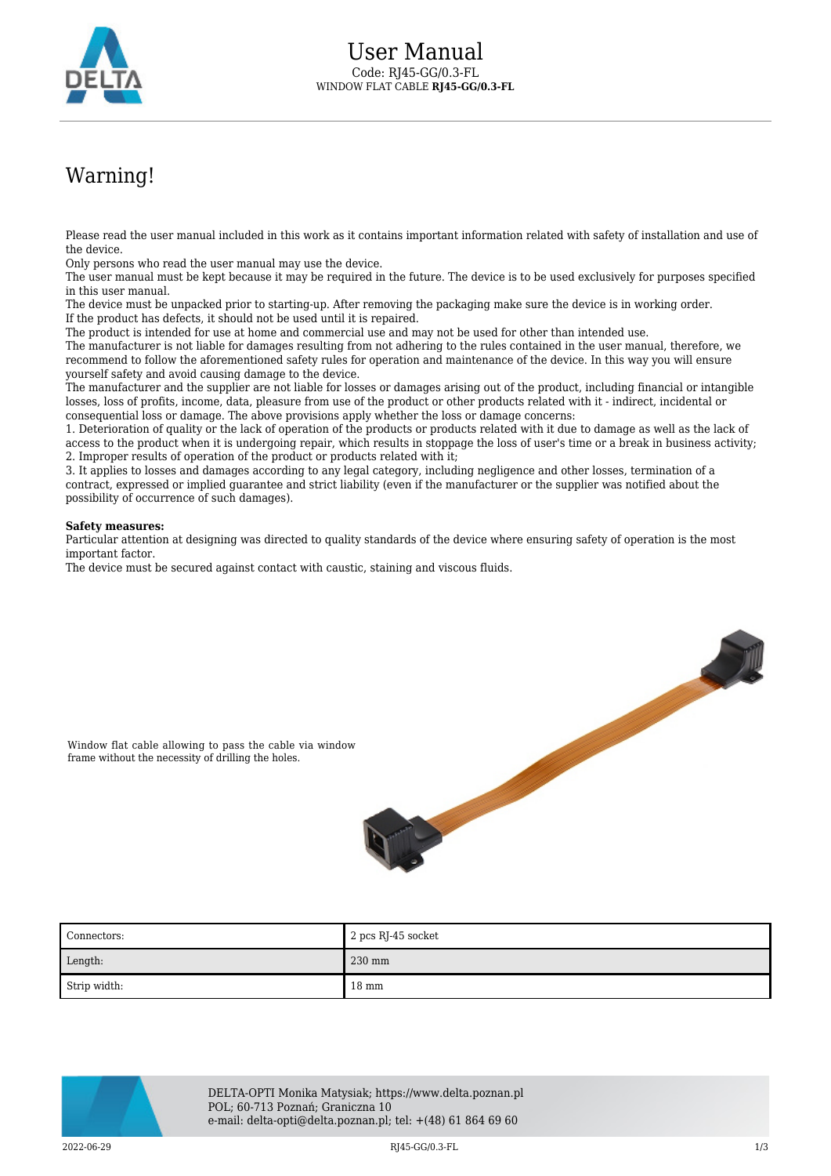

## Warning!

Please read the user manual included in this work as it contains important information related with safety of installation and use of the device.

Only persons who read the user manual may use the device.

The user manual must be kept because it may be required in the future. The device is to be used exclusively for purposes specified in this user manual.

The device must be unpacked prior to starting-up. After removing the packaging make sure the device is in working order. If the product has defects, it should not be used until it is repaired.

The product is intended for use at home and commercial use and may not be used for other than intended use.

The manufacturer is not liable for damages resulting from not adhering to the rules contained in the user manual, therefore, we recommend to follow the aforementioned safety rules for operation and maintenance of the device. In this way you will ensure yourself safety and avoid causing damage to the device.

The manufacturer and the supplier are not liable for losses or damages arising out of the product, including financial or intangible losses, loss of profits, income, data, pleasure from use of the product or other products related with it - indirect, incidental or consequential loss or damage. The above provisions apply whether the loss or damage concerns:

1. Deterioration of quality or the lack of operation of the products or products related with it due to damage as well as the lack of access to the product when it is undergoing repair, which results in stoppage the loss of user's time or a break in business activity; 2. Improper results of operation of the product or products related with it;

3. It applies to losses and damages according to any legal category, including negligence and other losses, termination of a contract, expressed or implied guarantee and strict liability (even if the manufacturer or the supplier was notified about the possibility of occurrence of such damages).

## **Safety measures:**

Particular attention at designing was directed to quality standards of the device where ensuring safety of operation is the most important factor.

The device must be secured against contact with caustic, staining and viscous fluids.



Window flat cable allowing to pass the cable via window frame without the necessity of drilling the holes.





DELTA-OPTI Monika Matysiak; https://www.delta.poznan.pl POL; 60-713 Poznań; Graniczna 10 e-mail: delta-opti@delta.poznan.pl; tel: +(48) 61 864 69 60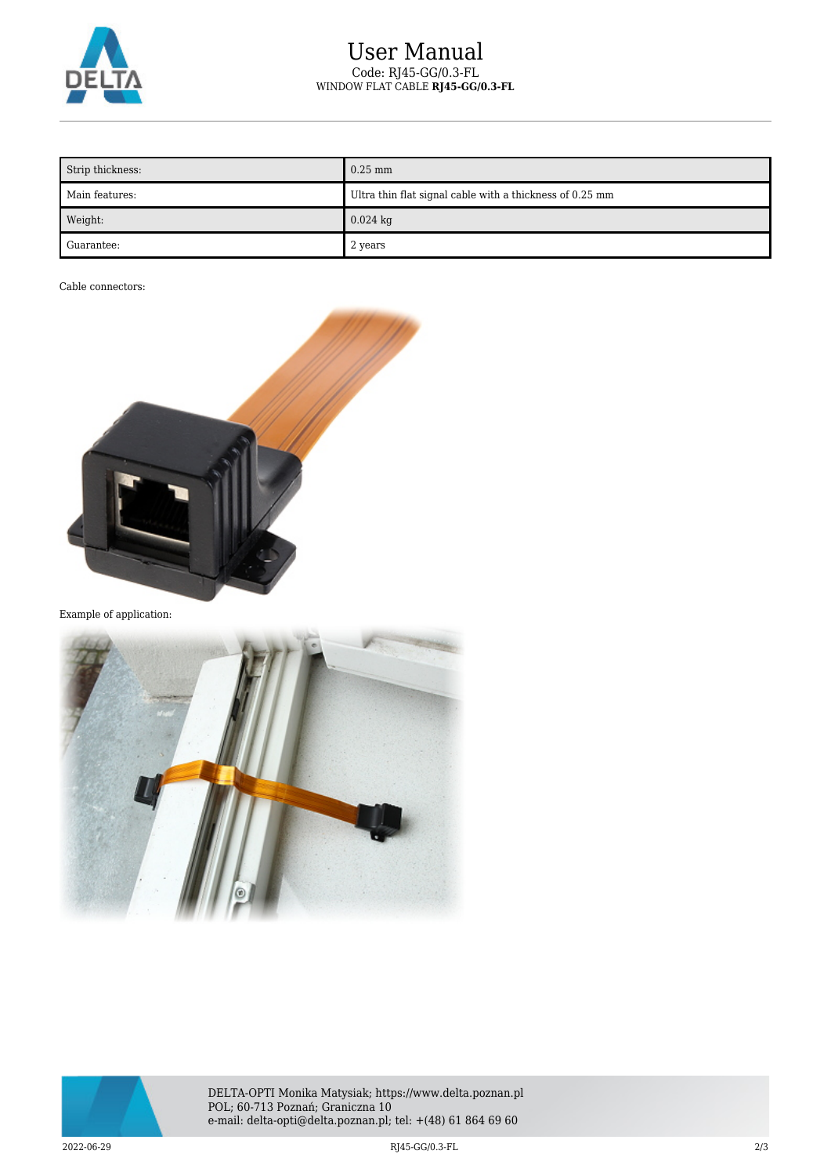

## User Manual Code: RJ45-GG/0.3-FL WINDOW FLAT CABLE **RJ45-GG/0.3-FL**

| Strip thickness: | $0.25$ mm                                                |
|------------------|----------------------------------------------------------|
| Main features:   | Ultra thin flat signal cable with a thickness of 0.25 mm |
| Weight:          | $0.024$ kg                                               |
| Guarantee:       | 2 years                                                  |

Cable connectors:



Example of application:





DELTA-OPTI Monika Matysiak; https://www.delta.poznan.pl POL; 60-713 Poznań; Graniczna 10 e-mail: delta-opti@delta.poznan.pl; tel: +(48) 61 864 69 60

2022-06-29 RJ45-GG/0.3-FL 2/3